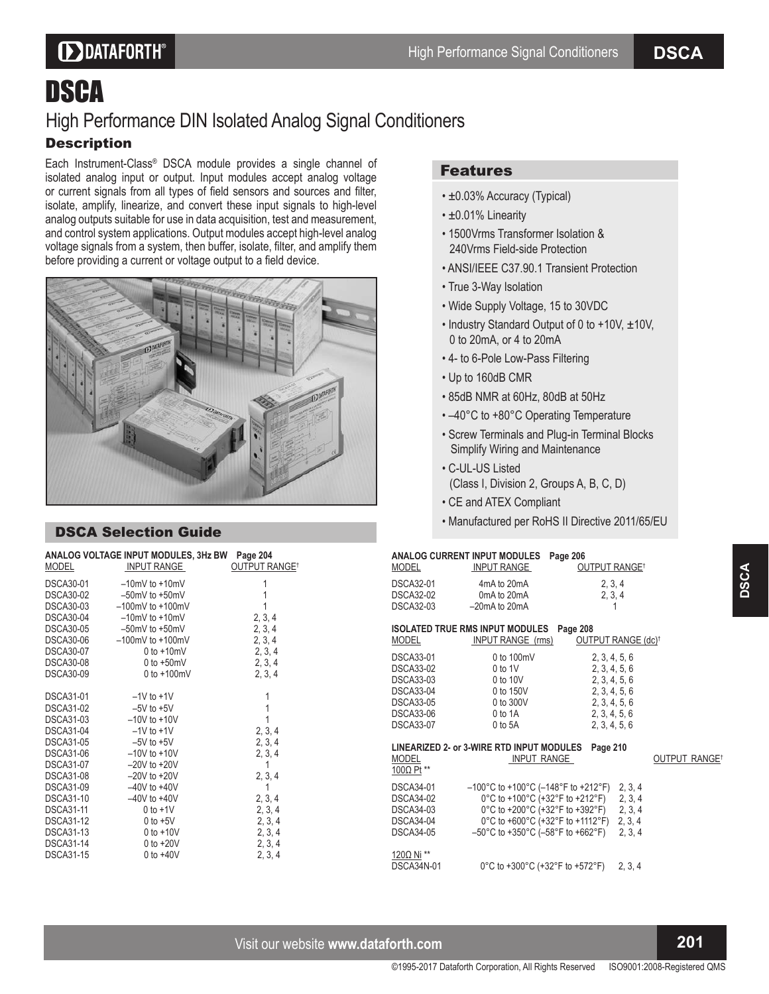# **DDATAFORTH®**

# DSCA High Performance DIN Isolated Analog Signal Conditioners **Description**

Each Instrument-Class® DSCA module provides a single channel of isolated analog input or output. Input modules accept analog voltage or current signals from all types of field sensors and sources and filter, isolate, amplify, linearize, and convert these input signals to high-level analog outputs suitable for use in data acquisition, test and measurement, and control system applications. Output modules accept high-level analog voltage signals from a system, then buffer, isolate, filter, and amplify them before providing a current or voltage output to a field device.



## DSCA Selection Guide

| <b>MODEL</b>     | ANALOG VOLTAGE INPUT MODULES, 3Hz BW Page 204<br>INPUT RANGE | <b>OUTPUT RANGE<sup>T</sup></b> |
|------------------|--------------------------------------------------------------|---------------------------------|
|                  | DSCA30-01 -10mV to +10mV                                     |                                 |
| DSCA30-02        | $-50$ mV to +50mV                                            | 1                               |
| DSCA30-03        | $-100$ mV to $+100$ mV                                       |                                 |
| DSCA30-04        | $-10$ mV to $+10$ mV                                         | 2, 3, 4                         |
| DSCA30-05        | $-50$ mV to +50mV                                            | 2, 3, 4                         |
| DSCA30-06        | $-100$ mV to $+100$ mV                                       | 2, 3, 4                         |
| DSCA30-07        | $0$ to $+10$ mV                                              | 2, 3, 4                         |
| DSCA30-08        | $0$ to $+50$ mV                                              | 2, 3, 4                         |
| <b>DSCA30-09</b> | $0$ to $+100$ mV                                             | 2, 3, 4                         |
| <b>DSCA31-01</b> | $-1V$ to $+1V$                                               | 1                               |
| <b>DSCA31-02</b> | $-5V$ to $+5V$                                               | 1                               |
|                  | DSCA31-03 -10V to +10V                                       | 1                               |
| DSCA31-04        | $-1V$ to $+1V$                                               | 2, 3, 4                         |
| DSCA31-05        | $-5V$ to $+5V$                                               | 2, 3, 4                         |
|                  | DSCA31-06 -10V to +10V                                       | 2, 3, 4                         |
| DSCA31-07        | $-20V$ to $+20V$                                             | 1                               |
| DSCA31-08        | $-20V$ to $+20V$                                             | 2, 3, 4                         |
| DSCA31-09        | $-40V$ to $+40V$                                             | 1                               |
| <b>DSCA31-10</b> | $-40V$ to $+40V$                                             | 2, 3, 4                         |
| <b>DSCA31-11</b> | $0$ to $+1$ V                                                | 2, 3, 4                         |
| <b>DSCA31-12</b> | $0$ to +5V                                                   | 2, 3, 4                         |
| <b>DSCA31-13</b> | $0$ to $+10V$                                                | 2, 3, 4                         |
| <b>DSCA31-14</b> | $0$ to $+20V$                                                | 2, 3, 4                         |
| <b>DSCA31-15</b> | $0$ to $+40V$                                                | 2, 3, 4                         |

## Features

- ±0.03% Accuracy (Typical)
- ±0.01% Linearity
- 1500Vrms Transformer Isolation & 240Vrms Field-side Protection
- ANSI/IEEE C37.90.1 Transient Protection
- True 3-Way Isolation
- Wide Supply Voltage, 15 to 30VDC
- Industry Standard Output of 0 to +10V, ± 10V, 0 to 20mA, or 4 to 20mA
- 4- to 6-Pole Low-Pass Filtering
- Up to 160dB CMR
- 85dB NMR at 60Hz, 80dB at 50Hz
- -40°C to +80°C Operating Temperature
- Screw Terminals and Plug-in Terminal Blocks Simplify Wiring and Maintenance
- C-UL-US Listed (Class I, Division 2, Groups A, B, C, D)
- CE and ATEX Compliant
- Manufactured per RoHS II Directive 2011/65/EU

## **ANALOG CURRENT INPUT MODULES Page 206**

| <b>MODEL</b>                                                                                                                             | INPUT RANGE                                                                                                                                                                                                                                                                                                      | OUTPUT RANGE <sup>T</sup>                                                                                           |                                |
|------------------------------------------------------------------------------------------------------------------------------------------|------------------------------------------------------------------------------------------------------------------------------------------------------------------------------------------------------------------------------------------------------------------------------------------------------------------|---------------------------------------------------------------------------------------------------------------------|--------------------------------|
| <b>DSCA32-01</b><br><b>DSCA32-02</b><br><b>DSCA32-03</b>                                                                                 | 4mA to 20mA<br>0mA to 20mA<br>$-20$ mA to $20$ mA                                                                                                                                                                                                                                                                | 2, 3, 4<br>2, 3, 4<br>1                                                                                             |                                |
| <b>MODEL</b>                                                                                                                             | <b>ISOLATED TRUE RMS INPUT MODULES</b><br><b>INPUT RANGE (rms)</b>                                                                                                                                                                                                                                               | Page 208                                                                                                            | OUTPUT RANGE (dc) <sup>†</sup> |
| <b>DSCA33-01</b><br><b>DSCA33-02</b><br><b>DSCA33-03</b><br><b>DSCA33-04</b><br><b>DSCA33-05</b><br><b>DSCA33-06</b><br><b>DSCA33-07</b> | $0$ to 100mV<br>$0$ to $1V$<br>0 to 10V<br>0 to 150V<br>0 to 300V<br>0 to 1A<br>$0$ to $5A$                                                                                                                                                                                                                      | 2, 3, 4, 5, 6<br>2, 3, 4, 5, 6<br>2, 3, 4, 5, 6<br>2, 3, 4, 5, 6<br>2, 3, 4, 5, 6<br>2, 3, 4, 5, 6<br>2, 3, 4, 5, 6 |                                |
| <b>MODEL</b><br>100 $\Omega$ Pt **                                                                                                       | LINEARIZED 2- or 3-WIRE RTD INPUT MODULES<br>INPUT RANGE                                                                                                                                                                                                                                                         | Page 210                                                                                                            | <b>OUTPUT RANGET</b>           |
| <b>DSCA34-01</b><br><b>DSCA34-02</b><br><b>DSCA34-03</b><br><b>DSCA34-04</b><br><b>DSCA34-05</b>                                         | $-100^{\circ}$ C to +100 $^{\circ}$ C (-148 $^{\circ}$ F to +212 $^{\circ}$ F) 2, 3, 4<br>0°C to +100°C (+32°F to +212°F) 2, 3, 4<br>0°C to +200°C (+32°F to +392°F) 2, 3, 4<br>0°C to +600°C (+32°F to +1112°F) 2, 3, 4<br>$-50^{\circ}$ C to +350 $^{\circ}$ C (-58 $^{\circ}$ F to +662 $^{\circ}$ F) 2, 3, 4 |                                                                                                                     |                                |
| 120Ω Ni **<br><b>DSCA34N-01</b>                                                                                                          | 0°C to +300°C (+32°F to +572°F)                                                                                                                                                                                                                                                                                  |                                                                                                                     | 2, 3, 4                        |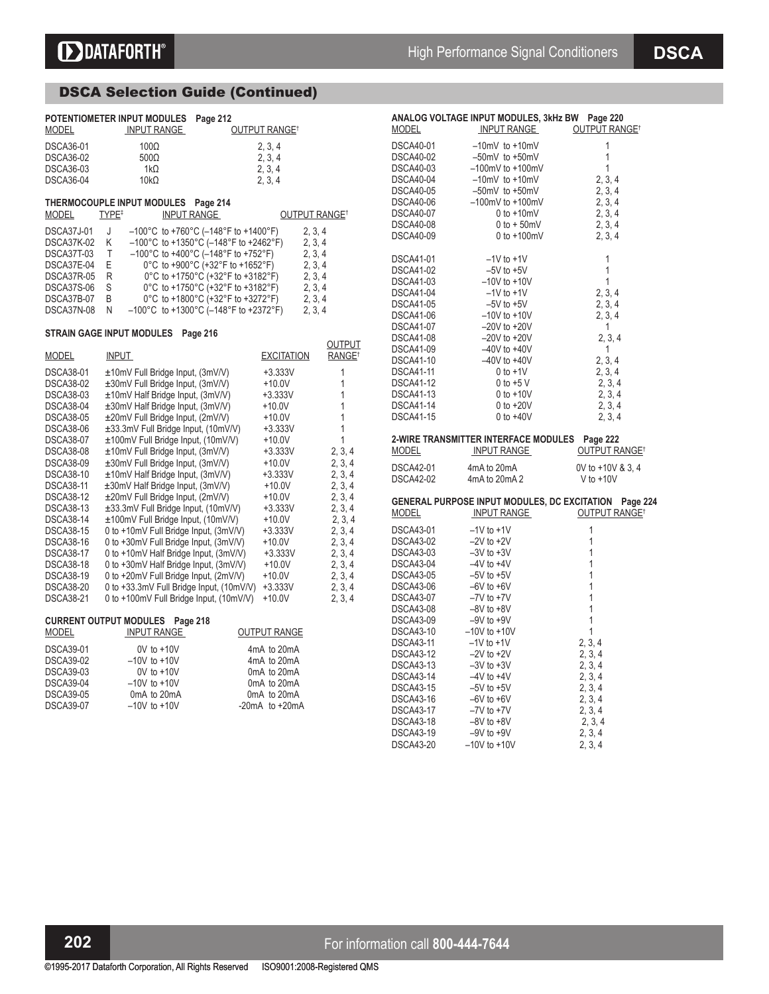# DSCA Selection Guide (Continued)

| <b>MODEL</b><br><b>DSCA36-01</b><br><b>DSCA36-02</b><br><b>DSCA36-03</b><br><b>DSCA36-04</b>                                                                                                                                                                                                                                                                                                                       | POTENTIOMETER INPUT MODULES<br><b>INPUT RANGE</b><br>$100\Omega$<br>$500\Omega$<br>1k $\Omega$<br>$10k\Omega$                                                                                                                                                                                                                                                                                                                                                                                                                                                                                                                                                                                                                                                                                                                      | Page 212                                                                                                                                                                                                                                                                                                                                                                                  | <b>OUTPUT RANGE<sup>+</sup></b><br>2, 3, 4<br>2, 3, 4<br>2, 3, 4<br>2, 3, 4                                                                                                                                                                           |                                                                                                                                                                                           |
|--------------------------------------------------------------------------------------------------------------------------------------------------------------------------------------------------------------------------------------------------------------------------------------------------------------------------------------------------------------------------------------------------------------------|------------------------------------------------------------------------------------------------------------------------------------------------------------------------------------------------------------------------------------------------------------------------------------------------------------------------------------------------------------------------------------------------------------------------------------------------------------------------------------------------------------------------------------------------------------------------------------------------------------------------------------------------------------------------------------------------------------------------------------------------------------------------------------------------------------------------------------|-------------------------------------------------------------------------------------------------------------------------------------------------------------------------------------------------------------------------------------------------------------------------------------------------------------------------------------------------------------------------------------------|-------------------------------------------------------------------------------------------------------------------------------------------------------------------------------------------------------------------------------------------------------|-------------------------------------------------------------------------------------------------------------------------------------------------------------------------------------------|
| MODEL                                                                                                                                                                                                                                                                                                                                                                                                              | THERMOCOUPLE INPUT MODULES<br>TYPE <sup>#</sup><br>INPUT RANGE                                                                                                                                                                                                                                                                                                                                                                                                                                                                                                                                                                                                                                                                                                                                                                     | Page 214                                                                                                                                                                                                                                                                                                                                                                                  |                                                                                                                                                                                                                                                       | OUTPUT RANGE <sup>†</sup>                                                                                                                                                                 |
| <b>DSCA37J-01</b><br><b>DSCA37K-02</b><br>DSCA37T-03<br>DSCA37E-04<br>DSCA37R-05<br>DSCA37S-06<br>DSCA37B-07<br>DSCA37N-08                                                                                                                                                                                                                                                                                         | J<br>Κ<br>T<br>E<br>R<br>S<br>B<br>Ν                                                                                                                                                                                                                                                                                                                                                                                                                                                                                                                                                                                                                                                                                                                                                                                               | $-100^{\circ}$ C to +760 $^{\circ}$ C (-148 $^{\circ}$ F to +1400 $^{\circ}$ F)<br>$-100^{\circ}$ C to +1350°C (-148°F to +2462°F)<br>$-100^{\circ}$ C to +400°C (-148°F to +752°F)<br>0°C to +900°C (+32°F to +1652°F)<br>0°C to +1750°C (+32°F to +3182°F)<br>0°C to +1750°C (+32°F to +3182°F)<br>0°C to +1800°C (+32°F to +3272°F)<br>$-100^{\circ}$ C to +1300°C (-148°F to +2372°F) |                                                                                                                                                                                                                                                       | 2, 3, 4<br>2, 3, 4<br>2, 3, 4<br>2, 3, 4<br>2, 3, 4<br>2, 3, 4<br>2, 3, 4<br>2, 3, 4                                                                                                      |
|                                                                                                                                                                                                                                                                                                                                                                                                                    | <b>STRAIN GAGE INPUT MODULES</b>                                                                                                                                                                                                                                                                                                                                                                                                                                                                                                                                                                                                                                                                                                                                                                                                   | Page 216                                                                                                                                                                                                                                                                                                                                                                                  |                                                                                                                                                                                                                                                       | OUTPUT                                                                                                                                                                                    |
| MODEL                                                                                                                                                                                                                                                                                                                                                                                                              | <b>INPUT</b>                                                                                                                                                                                                                                                                                                                                                                                                                                                                                                                                                                                                                                                                                                                                                                                                                       |                                                                                                                                                                                                                                                                                                                                                                                           | <b>EXCITATION</b>                                                                                                                                                                                                                                     | RANGE <sup>+</sup>                                                                                                                                                                        |
| <b>DSCA38-01</b><br><b>DSCA38-02</b><br>DSCA38-03<br><b>DSCA38-04</b><br><b>DSCA38-05</b><br><b>DSCA38-06</b><br><b>DSCA38-07</b><br><b>DSCA38-08</b><br><b>DSCA38-09</b><br><b>DSCA38-10</b><br><b>DSCA38-11</b><br><b>DSCA38-12</b><br><b>DSCA38-13</b><br><b>DSCA38-14</b><br><b>DSCA38-15</b><br><b>DSCA38-16</b><br><b>DSCA38-17</b><br><b>DSCA38-18</b><br>DSCA38-19<br><b>DSCA38-20</b><br><b>DSCA38-21</b> | ±10mV Full Bridge Input, (3mV/V)<br>±30mV Full Bridge Input, (3mV/V)<br>±10mV Half Bridge Input, (3mV/V)<br>±30mV Half Bridge Input, (3mV/V)<br>±20mV Full Bridge Input, (2mV/V)<br>±33.3mV Full Bridge Input, (10mV/V)<br>±100mV Full Bridge Input, (10mV/V)<br>±10mV Full Bridge Input, (3mV/V)<br>±30mV Full Bridge Input, (3mV/V)<br>±10mV Half Bridge Input, (3mV/V)<br>±30mV Half Bridge Input, (3mV/V)<br>±20mV Full Bridge Input, (2mV/V)<br>±33.3mV Full Bridge Input, (10mV/V)<br>±100mV Full Bridge Input, (10mV/V)<br>0 to +10mV Full Bridge Input, (3mV/V)<br>0 to +30mV Full Bridge Input, (3mV/V)<br>0 to +10mV Half Bridge Input, (3mV/V)<br>0 to +30mV Half Bridge Input, (3mV/V)<br>0 to +20mV Full Bridge Input, (2mV/V)<br>0 to +33.3mV Full Bridge Input, (10mV/V)<br>0 to +100mV Full Bridge Input, (10mV/V) |                                                                                                                                                                                                                                                                                                                                                                                           | $+3.333V$<br>$+10.0V$<br>$+3.333V$<br>+10.0V<br>$+10.0V$<br>$+3.333V$<br>$+10.0V$<br>$+3.333V$<br>+10.0V<br>$+3.333V$<br>$+10.0V$<br>+10.0V<br>$+3.333V$<br>+10.0V<br>$+3.333V$<br>+10.0V<br>$+3.333V$<br>$+10.0V$<br>+10.0V<br>$+3.333V$<br>$+10.0V$ | 1<br>1<br>1<br>1<br>1<br>1<br>1<br>2, 3, 4<br>2, 3, 4<br>2, 3, 4<br>2, 3, 4<br>2, 3, 4<br>2, 3, 4<br>2, 3, 4<br>2, 3, 4<br>2, 3, 4<br>2, 3, 4<br>2, 3, 4<br>2, 3, 4<br>2, 3, 4<br>2, 3, 4 |
| <b>MODEL</b>                                                                                                                                                                                                                                                                                                                                                                                                       | <b>CURRENT OUTPUT MODULES</b><br>Page 218<br><b>INPUT RANGE</b>                                                                                                                                                                                                                                                                                                                                                                                                                                                                                                                                                                                                                                                                                                                                                                    |                                                                                                                                                                                                                                                                                                                                                                                           | <b>OUTPUT RANGE</b>                                                                                                                                                                                                                                   |                                                                                                                                                                                           |
| <b>DSCA39-01</b><br><b>DSCA39-02</b><br><b>DSCA39-03</b><br><b>DSCA39-04</b><br><b>DSCA39-05</b><br><b>DSCA39-07</b>                                                                                                                                                                                                                                                                                               | $0V$ to $+10V$<br>$-10V$ to $+10V$<br>$0V$ to $+10V$<br>$-10V$ to $+10V$<br>0mA to 20mA<br>$-10V$ to $+10V$                                                                                                                                                                                                                                                                                                                                                                                                                                                                                                                                                                                                                                                                                                                        |                                                                                                                                                                                                                                                                                                                                                                                           | 4mA to 20mA<br>4mA to 20mA<br>0mA to 20mA<br>0mA to 20mA<br>0mA to 20mA<br>$-20mA$ to $+20mA$                                                                                                                                                         |                                                                                                                                                                                           |

| <b>MODEL</b>                                                                                                                           | ANALOG VOLTAGE INPUT MODULES, 3kHz BW Page 220<br><b>INPUT RANGE</b>                                                                                             | <b>OUTPUT RANGE<sup>T</sup></b>                                                    |
|----------------------------------------------------------------------------------------------------------------------------------------|------------------------------------------------------------------------------------------------------------------------------------------------------------------|------------------------------------------------------------------------------------|
| <b>DSCA40-01</b><br>DSCA40-02<br>DSCA40-03<br>DSCA40-04<br><b>DSCA40-05</b>                                                            | $-10mV$ to $+10mV$<br>$-50$ mV to $+50$ mV<br>$-100$ mV to $+100$ mV<br>$-10$ mV to $+10$ mV<br>$-50mV$ to $+50mV$                                               | 1<br>$\overline{1}$<br>1<br>2, 3, 4<br>2, 3, 4                                     |
| DSCA40-06<br><b>DSCA40-07</b><br>DSCA40-08<br>DSCA40-09                                                                                | $-100$ mV to $+100$ mV<br>$0$ to $+10$ mV<br>$0$ to $+50$ mV<br>$0$ to $+100$ mV                                                                                 | 2, 3, 4<br>2, 3, 4<br>2, 3, 4<br>2, 3, 4                                           |
| DSCA41-01<br><b>DSCA41-02</b><br><b>DSCA41-03</b><br>DSCA41-04<br><b>DSCA41-05</b><br>DSCA41-06<br>DSCA41-07<br>DSCA41-08<br>DSCA41-09 | $-1V$ to $+1V$<br>$-5V$ to $+5V$<br>$-10V$ to $+10V$<br>$-1V$ to $+1V$<br>$-5V$ to $+5V$<br>$-10V$ to $+10V$<br>$-20V$ to $+20V$<br>–20V to +20V<br>–40V to +40V | 1<br>$\mathbf{1}$<br>1<br>2, 3, 4<br>2, 3, 4<br>2, 3, 4<br>1<br>2, 3, 4            |
| DSCA41-10<br>DSCA41-11<br>DSCA41-11                                                                                                    | $-40V$ to $+40V$<br>$0$ to $+1$ V<br>$0$ to +5 V                                                                                                                 | 1<br>2, 3, 4<br>2, 3, 4<br>2, 3, 4                                                 |
| DSCA41-13<br>DSCA41-14<br><b>DSCA41-15</b>                                                                                             | $0 to +10V$<br>$0 to +20V$<br>$0$ to $+40V$                                                                                                                      | 2, 3, 4<br>2, 3, 4<br>2, 3, 4                                                      |
| <u>MODEL</u>                                                                                                                           | 2-WIRE TRANSMITTER INTERFACE MODULES Page 222<br><b>INPUT RANGE</b>                                                                                              | OUTPUT RANGE <sup>+</sup>                                                          |
| <b>DSCA42-01</b><br>DSCA42-02                                                                                                          | 4mA to 20mA<br>4mA to 20mA 2                                                                                                                                     | 0V to +10V & 3, 4<br>V to $+10V$                                                   |
| <u>MODEL</u>                                                                                                                           | <b>INPUT RANGE</b>                                                                                                                                               | GENERAL PURPOSE INPUT MODULES, DC EXCITATION Page 224<br>OUTPUT RANGE <sup>†</sup> |
| DSCA43-01<br>DSCA43-02<br>DSCA43-03<br>DSCA43-04<br>DSCA43-05<br>DSCA43-06<br>DSCA43-07<br>DSCA43-08                                   | $-1V$ to $+1V$<br>$-2V$ to $+2V$<br>$-3V$ to $+3V$<br>$-4V$ to $+4V$<br>$-5V$ to $+5V$<br>$-6V$ to $+6V$<br>$-7V$ to $+7V$<br>$-8V$ to $+8V$                     | 1<br>1<br>1<br>1<br>1<br>1<br>1<br>1<br>1                                          |
| DSCA43-09<br>DSCA43-10<br>DSCA43-11<br>DSCA43-12<br>DSCA43-13<br>DSCA43-14<br>DSCA43-15                                                | $-9V$ to $+9V$<br>$-10V$ to $+10V$<br>$-1V$ to $+1V$<br>$-2V$ to $+2V$<br>$-3V$ to $+3V$<br>–4V to +4V<br>$-5V$ to $+5V$                                         | 1<br>2, 3, 4<br>2, 3, 4<br>2, 3, 4<br>2, 3, 4<br>2, 3, 4                           |
| DSCA43-16<br><b>DSCA43-17</b><br>DSCA43-18<br><b>DSCA43-19</b>                                                                         | $-6V$ to $+6V$<br>$-7V$ to $+7V$<br>$-7V$ to $+7V$<br>–8V to +8V<br>$-9V$ to $+9V$                                                                               | 2, 3, 4<br>2, 3, 4<br>2, 3, 4<br>2, 3, 4                                           |

# **202 For information call 800-444-7644**